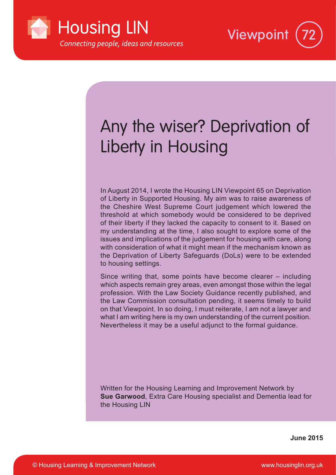



# Any the wiser? Deprivation of Liberty in Housing

In August 2014, I wrote the Housing LIN Viewpoint 65 on Deprivation of Liberty in Supported Housing. My aim was to raise awareness of the Cheshire West Supreme Court judgement which lowered the threshold at which somebody would be considered to be deprived of their liberty if they lacked the capacity to consent to it. Based on my understanding at the time, I also sought to explore some of the issues and implications of the judgement for housing with care, along with consideration of what it might mean if the mechanism known as the Deprivation of Liberty Safeguards (DoLs) were to be extended to housing settings.

Since writing that, some points have become clearer – including which aspects remain grey areas, even amongst those within the legal profession. With the Law Society Guidance recently published, and the Law Commission consultation pending, it seems timely to build on that Viewpoint. In so doing, I must reiterate, I am not a lawyer and what I am writing here is my own understanding of the current position. Nevertheless it may be a useful adjunct to the formal guidance.

Written for the Housing Learning and Improvement Network by **Sue Garwood**, Extra Care Housing specialist and Dementia lead for the Housing LIN

**June 2015**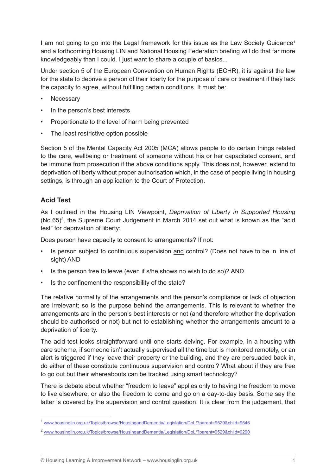I am not going to go into the Legal framework for this issue as the Law Society Guidance<sup>1</sup> and a forthcoming Housing LIN and National Housing Federation briefing will do that far more knowledgeably than I could. I just want to share a couple of basics...

Under section 5 of the European Convention on Human Rights (ECHR), it is against the law for the state to deprive a person of their liberty for the purpose of care or treatment if they lack the capacity to agree, without fulfilling certain conditions. It must be:

- **Necessary**
- In the person's best interests
- Proportionate to the level of harm being prevented
- The least restrictive option possible

Section 5 of the Mental Capacity Act 2005 (MCA) allows people to do certain things related to the care, wellbeing or treatment of someone without his or her capacitated consent, and be immune from prosecution if the above conditions apply. This does not, however, extend to deprivation of liberty without proper authorisation which, in the case of people living in housing settings, is through an application to the Court of Protection.

## **Acid Test**

As I outlined in the Housing LIN Viewpoint, *Deprivation of Liberty in Supported Housing*  $(No.65)^2$ , the Supreme Court Judgement in March 2014 set out what is known as the "acid test" for deprivation of liberty:

Does person have capacity to consent to arrangements? If not:

- Is person subject to continuous supervision and control? (Does not have to be in line of sight) AND
- Is the person free to leave (even if s/he shows no wish to do so)? AND
- Is the confinement the responsibility of the state?

The relative normality of the arrangements and the person's compliance or lack of objection are irrelevant; so is the purpose behind the arrangements. This is relevant to whether the arrangements are in the person's best interests or not (and therefore whether the deprivation should be authorised or not) but not to establishing whether the arrangements amount to a deprivation of liberty.

The acid test looks straightforward until one starts delving. For example, in a housing with care scheme, if someone isn't actually supervised all the time but is monitored remotely, or an alert is triggered if they leave their property or the building, and they are persuaded back in, do either of these constitute continuous supervision and control? What about if they are free to go out but their whereabouts can be tracked using smart technology?

There is debate about whether "freedom to leave" applies only to having the freedom to move to live elsewhere, or also the freedom to come and go on a day-to-day basis. Some say the latter is covered by the supervision and control question. It is clear from the judgement, that

<sup>1</sup> www.housinglin.org.uk/Topics/browse/HousingandDementia/Legislation/DoL/?parent=9529&child=9546

<sup>2</sup> www.housinglin.org.uk/Topics/browse/HousingandDementia/Legislation/DoL/?parent=9529&child=9290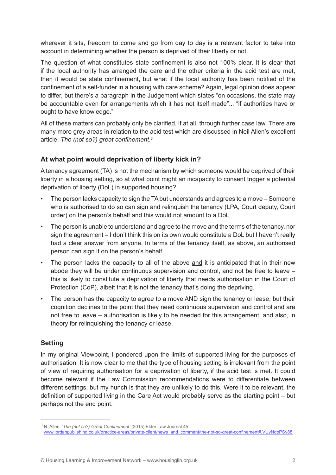wherever it sits, freedom to come and go from day to day is a relevant factor to take into account in determining whether the person is deprived of their liberty or not.

The question of what constitutes state confinement is also not 100% clear. It is clear that if the local authority has arranged the care and the other criteria in the acid test are met, then it would be state confinement, but what if the local authority has been notified of the confinement of a self-funder in a housing with care scheme? Again, legal opinion does appear to differ, but there's a paragraph in the Judgement which states "on occasions, the state may be accountable even for arrangements which it has not itself made"... "if authorities have or ought to have knowledge."

All of these matters can probably only be clarified, if at all, through further case law. There are many more grey areas in relation to the acid test which are discussed in Neil Allen's excellent article, *The (not so?) great confinement*. 3

# **At what point would deprivation of liberty kick in?**

A tenancy agreement (TA) is not the mechanism by which someone would be deprived of their liberty in a housing setting, so at what point might an incapacity to consent trigger a potential deprivation of liberty (DoL) in supported housing?

- The person lacks capacity to sign the TA but understands and agrees to a move Someone who is authorised to do so can sign and relinquish the tenancy (LPA, Court deputy, Court order) on the person's behalf and this would not amount to a DoL
- The person is unable to understand and agree to the move and the terms of the tenancy, nor sign the agreement – I don't think this on its own would constitute a DoL but I haven't really had a clear answer from anyone. In terms of the tenancy itself, as above, an authorised person can sign it on the person's behalf.
- The person lacks the capacity to all of the above and it is anticipated that in their new abode they will be under continuous supervision and control, and not be free to leave – this is likely to constitute a deprivation of liberty that needs authorisation in the Court of Protection (CoP), albeit that it is not the tenancy that's doing the depriving.
- The person has the capacity to agree to a move AND sign the tenancy or lease, but their cognition declines to the point that they need continuous supervision and control and are not free to leave – authorisation is likely to be needed for this arrangement, and also, in theory for relinquishing the tenancy or lease.

# **Setting**

In my original Viewpoint, I pondered upon the limits of supported living for the purposes of authorisation. It is now clear to me that the type of housing setting is irrelevant from the point of view of requiring authorisation for a deprivation of liberty, if the acid test is met. It could become relevant if the Law Commission recommendations were to differentiate between different settings, but my hunch is that they are unlikely to do this. Were it to be relevant, the definition of supported living in the Care Act would probably serve as the starting point – but perhaps not the end point.

<sup>3</sup> N. Allen, *'The (not so?) Great Confinement'* (2015) Elder Law Journal 45 www.jordanpublishing.co.uk/practice-areas/private-client/news\_and\_comment/the-not-so-great-confinement#.VUyNdpPSy88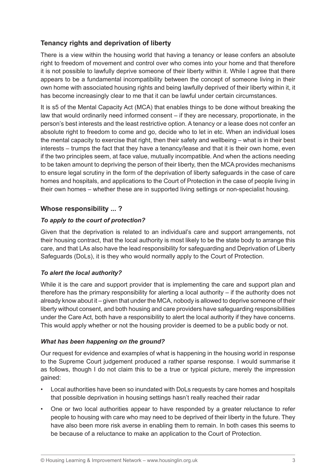# **Tenancy rights and deprivation of liberty**

There is a view within the housing world that having a tenancy or lease confers an absolute right to freedom of movement and control over who comes into your home and that therefore it is not possible to lawfully deprive someone of their liberty within it. While I agree that there appears to be a fundamental incompatibility between the concept of someone living in their own home with associated housing rights and being lawfully deprived of their liberty within it, it has become increasingly clear to me that it can be lawful under certain circumstances.

It is s5 of the Mental Capacity Act (MCA) that enables things to be done without breaking the law that would ordinarily need informed consent – if they are necessary, proportionate, in the person's best interests and the least restrictive option. A tenancy or a lease does not confer an absolute right to freedom to come and go, decide who to let in etc. When an individual loses the mental capacity to exercise that right, then their safety and wellbeing – what is in their best interests – trumps the fact that they have a tenancy/lease and that it is their own home, even if the two principles seem, at face value, mutually incompatible. And when the actions needing to be taken amount to depriving the person of their liberty, then the MCA provides mechanisms to ensure legal scrutiny in the form of the deprivation of liberty safeguards in the case of care homes and hospitals, and applications to the Court of Protection in the case of people living in their own homes – whether these are in supported living settings or non-specialist housing.

# **Whose responsibility ... ?**

## *To apply to the court of protection?*

Given that the deprivation is related to an individual's care and support arrangements, not their housing contract, that the local authority is most likely to be the state body to arrange this care, and that LAs also have the lead responsibility for safeguarding and Deprivation of Liberty Safeguards (DoLs), it is they who would normally apply to the Court of Protection.

#### *To alert the local authority?*

While it is the care and support provider that is implementing the care and support plan and therefore has the primary responsibility for alerting a local authority – if the authority does not already know about it – given that under the MCA, nobody is allowed to deprive someone of their liberty without consent, and both housing and care providers have safeguarding responsibilities under the Care Act, both have a responsibility to alert the local authority if they have concerns. This would apply whether or not the housing provider is deemed to be a public body or not.

#### *What has been happening on the ground?*

Our request for evidence and examples of what is happening in the housing world in response to the Supreme Court judgement produced a rather sparse response. I would summarise it as follows, though I do not claim this to be a true or typical picture, merely the impression gained:

- Local authorities have been so inundated with DoLs requests by care homes and hospitals that possible deprivation in housing settings hasn't really reached their radar
- One or two local authorities appear to have responded by a greater reluctance to refer people to housing with care who may need to be deprived of their liberty in the future. They have also been more risk averse in enabling them to remain. In both cases this seems to be because of a reluctance to make an application to the Court of Protection.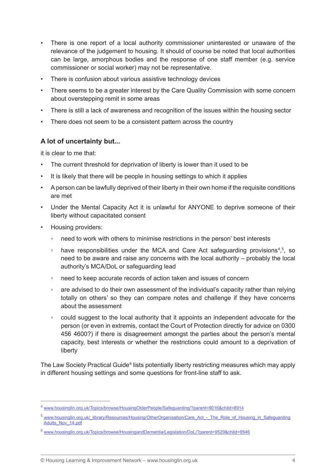- There is one report of a local authority commissioner uninterested or unaware of the relevance of the judgement to housing. It should of course be noted that local authorities can be large, amorphous bodies and the response of one staff member (e.g. service commissioner or social worker) may not be representative.
- There is confusion about various assistive technology devices
- There seems to be a greater interest by the Care Quality Commission with some concern about overstepping remit in some areas
- There is still a lack of awareness and recognition of the issues within the housing sector
- There does not seem to be a consistent pattern across the country

## **A lot of uncertainty but...**

it is clear to me that:

- The current threshold for deprivation of liberty is lower than it used to be
- It is likely that there will be people in housing settings to which it applies
- A person can be lawfully deprived of their liberty in their own home if the requisite conditions are met
- Under the Mental Capacity Act it is unlawful for ANYONE to deprive someone of their liberty without capacitated consent
- Housing providers:
	- need to work with others to minimise restrictions in the person' best interests
	- have responsibilities under the MCA and Care Act safeguarding provisions<sup>4,5</sup>, so need to be aware and raise any concerns with the local authority – probably the local authority's MCA/DoL or safeguarding lead
	- need to keep accurate records of action taken and issues of concern
	- are advised to do their own assessment of the individual's capacity rather than relying totally on others' so they can compare notes and challenge if they have concerns about the assessment
	- could suggest to the local authority that it appoints an independent advocate for the person (or even in extremis, contact the Court of Protection directly for advice on 0300 456 4600?) if there is disagreement amongst the parties about the person's mental capacity, best interests or whether the restrictions could amount to a deprivation of liberty

The Law Society Practical Guide<sup>6</sup> lists potentially liberty restricting measures which may apply in different housing settings and some questions for front-line staff to ask.

<sup>4</sup> www.housinglin.org.uk/Topics/browse/HousingOlderPeople/Safeguarding/?parent=9016&child=8914

<sup>&</sup>lt;sup>5</sup> www.housinglin.org.uk/\_library/Resources/Housing/OtherOrganisation/Care\_Act\_-\_The\_Role\_of\_Housing\_in\_Safeguarding Adults\_Nov\_14.pdf

<sup>6</sup> www.housinglin.org.uk/Topics/browse/HousingandDementia/Legislation/DoL/?parent=9529&child=9546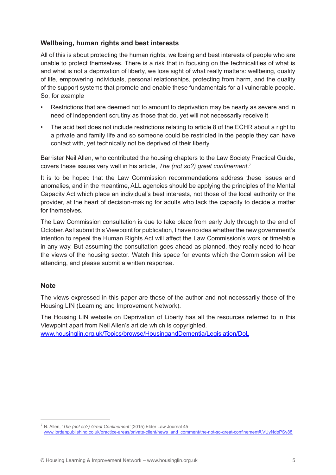# **Wellbeing, human rights and best interests**

All of this is about protecting the human rights, wellbeing and best interests of people who are unable to protect themselves. There is a risk that in focusing on the technicalities of what is and what is not a deprivation of liberty, we lose sight of what really matters: wellbeing, quality of life, empowering individuals, personal relationships, protecting from harm, and the quality of the support systems that promote and enable these fundamentals for all vulnerable people. So, for example

- Restrictions that are deemed not to amount to deprivation may be nearly as severe and in need of independent scrutiny as those that do, yet will not necessarily receive it
- The acid test does not include restrictions relating to article 8 of the ECHR about a right to a private and family life and so someone could be restricted in the people they can have contact with, yet technically not be deprived of their liberty

Barrister Neil Allen, who contributed the housing chapters to the Law Society Practical Guide, covers these issues very well in his article, *The (not so?) great confinement*. 7

It is to be hoped that the Law Commission recommendations address these issues and anomalies, and in the meantime, ALL agencies should be applying the principles of the Mental Capacity Act which place an individual's best interests, not those of the local authority or the provider, at the heart of decision-making for adults who lack the capacity to decide a matter for themselves.

The Law Commission consultation is due to take place from early July through to the end of October. As I submit this Viewpoint for publication, I have no idea whether the new government's intention to repeal the Human Rights Act will affect the Law Commission's work or timetable in any way. But assuming the consultation goes ahead as planned, they really need to hear the views of the housing sector. Watch this space for events which the Commission will be attending, and please submit a written response.

#### **Note**

The views expressed in this paper are those of the author and not necessarily those of the Housing LIN (Learning and Improvement Network).

The Housing LIN website on Deprivation of Liberty has all the resources referred to in this Viewpoint apart from Neil Allen's article which is copyrighted.

www.housinglin.org.uk/Topics/browse/HousingandDementia/Legislation/DoL

<sup>7</sup> N. Allen, *'The (not so?) Great Confinement'* (2015) Elder Law Journal 45

www.jordanpublishing.co.uk/practice-areas/private-client/news\_and\_comment/the-not-so-great-confinement#.VUyNdpPSy88